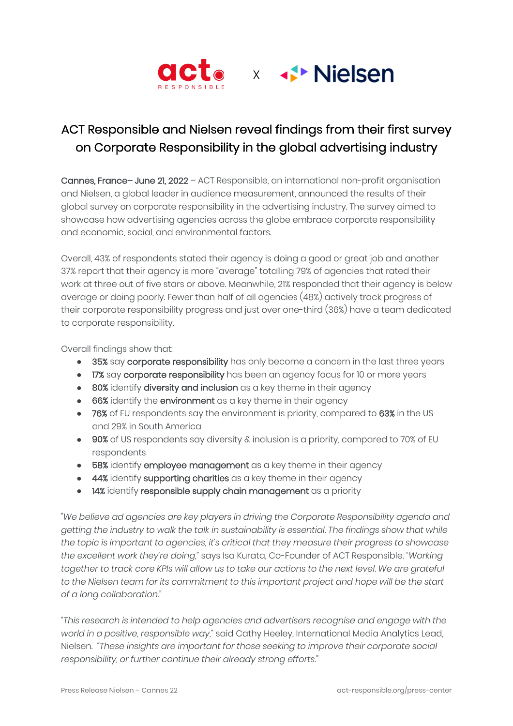

# ACT Responsible and Nielsen reveal findings from their first survey on Corporate Responsibility in the global advertising industry

Cannes, France– June 21, 2022 – ACT Responsible, an international non-profit organisation and Nielsen, a global leader in audience measurement, announced the results of their global survey on corporate responsibility in the advertising industry. The survey aimed to showcase how advertising agencies across the globe embrace corporate responsibility and economic, social, and environmental factors.

Overall, 43% of respondents stated their agency is doing a good or great job and another 37% report that their agency is more "average" totalling 79% of agencies that rated their work at three out of five stars or above. Meanwhile, 21% responded that their agency is below average or doing poorly. Fewer than half of all agencies (48%) actively track progress of their corporate responsibility progress and just over one-third (36%) have a team dedicated to corporate responsibility.

Overall findings show that:

- 35% say corporate responsibility has only become a concern in the last three years
- 17% say corporate responsibility has been an agency focus for 10 or more years
- 80% identify diversity and inclusion as a key theme in their agency
- 66% identify the environment as a key theme in their agency
- 76% of EU respondents say the environment is priority, compared to 63% in the US and 29% in South America
- 90% of US respondents say diversity & inclusion is a priority, compared to 70% of EU respondents
- 58% identify employee management as a key theme in their agency
- 44% identify supporting charities as a key theme in their agency
- 14% identify responsible supply chain management as a priority

*"We believe ad agencies are key players in driving the Corporate Responsibility agenda and getting the industry to walk the talk in sustainability is essential. The findings show that while the topic is important to agencies, it's critical that they measure their progress to showcase the excellent work they're doing*," says Isa Kurata, Co-Founder of ACT Responsible. *"Working*  together to track core KPIs will allow us to take our actions to the next level. We are grateful *to the Nielsen team for its commitment to this important project and hope will be the start of a long collaboration."*

*"This research is intended to help agencies and advertisers recognise and engage with the world in a positive, responsible way,"* said Cathy Heeley, International Media Analytics Lead, Nielsen. *"These insights are important for those seeking to improve their corporate social responsibility, or further continue their already strong efforts."*